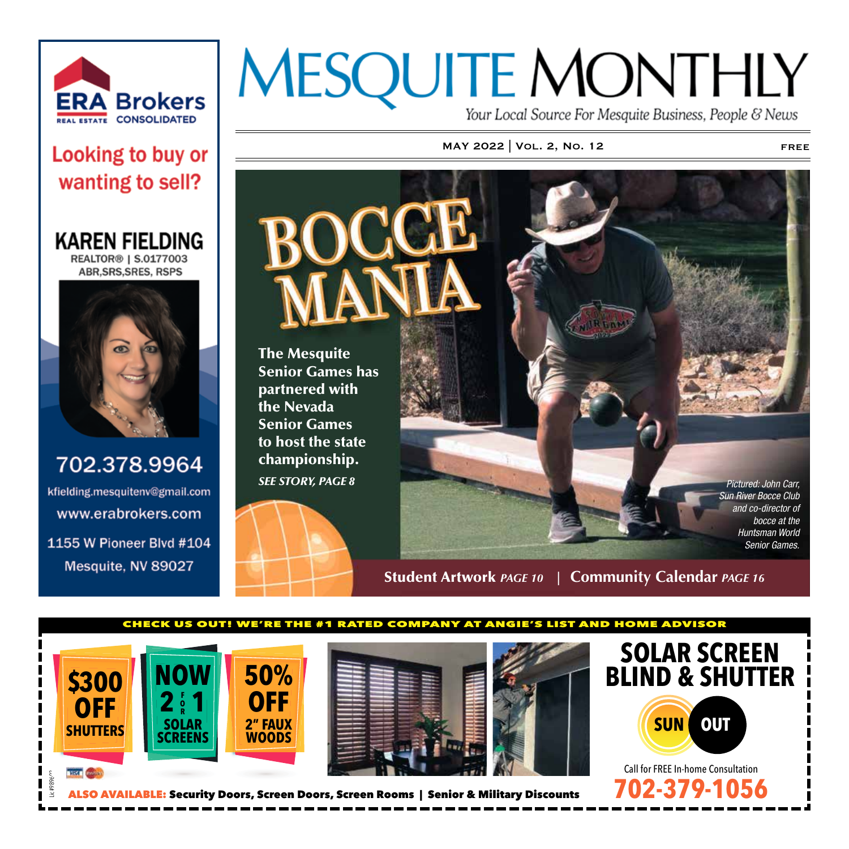

### Looking to buy or wanting to sell?

**KAREN FIELDING REALTOR® | S.0177003 ABR, SRS, SRES, RSPS** 



702.378.9964 kfielding.mesquitenv@gmail.com www.erabrokers.com 1155 W Pioneer Blvd #104 Mesquite, NV 89027

# **MESQUITE MONTHLY**

Your Local Source For Mesquite Business, People & News

### MAY 2022 | VOL. 2, NO. 12 FREE



Student Artwork *PAGE 10* **| Community Calendar** *PAGE 16*